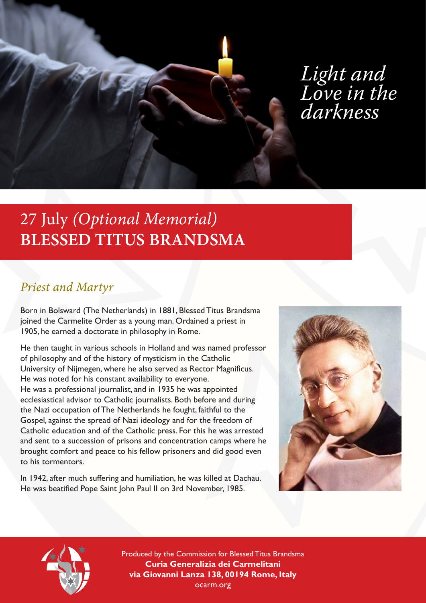

# *Light and Love in the darkness*

# 27 July *(Optional Memorial)* **BLESSED TITUS BRANDSMA**

# *Priest and Martyr*

Born in Bolsward (The Netherlands) in 1881, Blessed Titus Brandsma joined the Carmelite Order as a young man. Ordained a priest in 1905, he earned a doctorate in philosophy in Rome.

He then taught in various schools in Holland and was named professor of philosophy and of the history of mysticism in the Catholic University of Nijmegen, where he also served as Rector Magnificus. He was noted for his constant availability to everyone. He was a professional journalist, and in 1935 he was appointed ecclesiastical advisor to Catholic journalists. Both before and during the Nazi occupation of The Netherlands he fought, faithful to the Gospel, against the spread of Nazi ideology and for the freedom of Catholic education and of the Catholic press. For this he was arrested and sent to a succession of prisons and concentration camps where he brought comfort and peace to his fellow prisoners and did good even to his tormentors.

In 1942, after much suffering and humiliation, he was killed at Dachau. He was beatified Pope Saint John Paul II on 3rd November, 1985.





Produced by the Commission for Blessed Titus Brandsma **Curia Generalizia dei Carmelitani via Giovanni Lanza 138, 00194 Rome, Italy** ocarm.org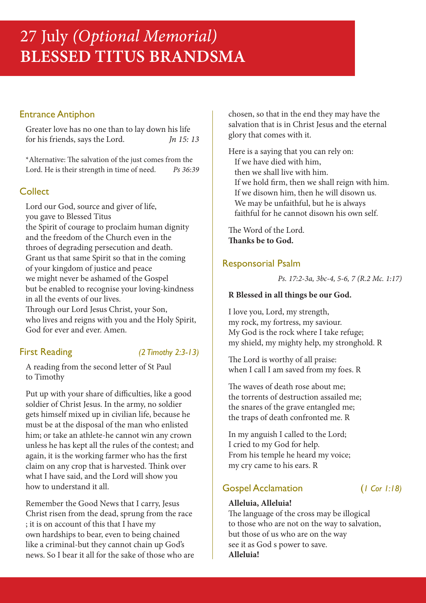# Entrance Antiphon

Greater love has no one than to lay down his life for his friends, says the Lord. *Jn 15: 13*

\*Alternative: The salvation of the just comes from the Lord. He is their strength in time of need. *Ps 36:39*

# **Collect**

Lord our God, source and giver of life, you gave to Blessed Titus the Spirit of courage to proclaim human dignity and the freedom of the Church even in the throes of degrading persecution and death. Grant us that same Spirit so that in the coming of your kingdom of justice and peace we might never be ashamed of the Gospel but be enabled to recognise your loving-kindness in all the events of our lives. Through our Lord Jesus Christ, your Son, who lives and reigns with you and the Holy Spirit, God for ever and ever. Amen.

# First Reading *(2 Timothy 2:3-13)*

A reading from the second letter of St Paul to Timothy

Put up with your share of difficulties, like a good soldier of Christ Jesus. In the army, no soldier gets himself mixed up in civilian life, because he must be at the disposal of the man who enlisted him; or take an athlete-he cannot win any crown unless he has kept all the rules of the contest; and again, it is the working farmer who has the first claim on any crop that is harvested. Think over what I have said, and the Lord will show you how to understand it all.

Remember the Good News that I carry, Jesus Christ risen from the dead, sprung from the race ; it is on account of this that I have my own hardships to bear, even to being chained like a criminal-but they cannot chain up God's news. So I bear it all for the sake of those who are chosen, so that in the end they may have the salvation that is in Christ Jesus and the eternal glory that comes with it.

Here is a saying that you can rely on: If we have died with him, then we shall live with him. If we hold firm, then we shall reign with him. If we disown him, then he will disown us. We may be unfaithful, but he is always faithful for he cannot disown his own self.

The Word of the Lord. **Thanks be to God.**

# Responsorial Psalm

*Ps. 17:2-3a, 3bc-4, 5-6, 7 (R.2 Mc. 1:17)*

#### **R Blessed in all things be our God.**

I love you, Lord, my strength, my rock, my fortress, my saviour. My God is the rock where I take refuge; my shield, my mighty help, my stronghold. R

The Lord is worthy of all praise: when I call I am saved from my foes. R

The waves of death rose about me; the torrents of destruction assailed me; the snares of the grave entangled me; the traps of death confronted me. R

In my anguish I called to the Lord; I cried to my God for help. From his temple he heard my voice; my cry came to his ears. R

# Gospel Acclamation (*1 Cor 1:18)*

# **Alleluia, Alleluia!**

The language of the cross may be illogical to those who are not on the way to salvation, but those of us who are on the way see it as God s power to save. **Alleluia!**